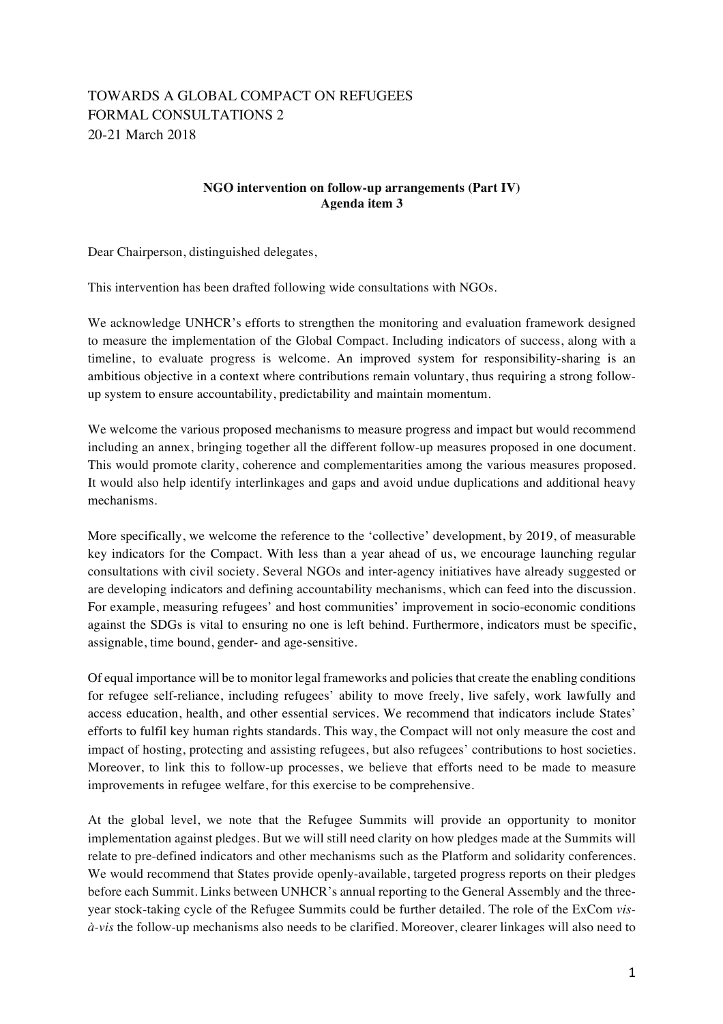## TOWARDS A GLOBAL COMPACT ON REFUGEES FORMAL CONSULTATIONS 2 20-21 March 2018

## **NGO intervention on follow-up arrangements (Part IV) Agenda item 3**

Dear Chairperson, distinguished delegates,

This intervention has been drafted following wide consultations with NGOs.

We acknowledge UNHCR's efforts to strengthen the monitoring and evaluation framework designed to measure the implementation of the Global Compact. Including indicators of success, along with a timeline, to evaluate progress is welcome. An improved system for responsibility-sharing is an ambitious objective in a context where contributions remain voluntary, thus requiring a strong followup system to ensure accountability, predictability and maintain momentum.

We welcome the various proposed mechanisms to measure progress and impact but would recommend including an annex, bringing together all the different follow-up measures proposed in one document. This would promote clarity, coherence and complementarities among the various measures proposed. It would also help identify interlinkages and gaps and avoid undue duplications and additional heavy mechanisms.

More specifically, we welcome the reference to the 'collective' development, by 2019, of measurable key indicators for the Compact. With less than a year ahead of us, we encourage launching regular consultations with civil society. Several NGOs and inter-agency initiatives have already suggested or are developing indicators and defining accountability mechanisms, which can feed into the discussion. For example, measuring refugees' and host communities' improvement in socio-economic conditions against the SDGs is vital to ensuring no one is left behind. Furthermore, indicators must be specific, assignable, time bound, gender- and age-sensitive.

Of equal importance will be to monitor legal frameworks and policies that create the enabling conditions for refugee self-reliance, including refugees' ability to move freely, live safely, work lawfully and access education, health, and other essential services. We recommend that indicators include States' efforts to fulfil key human rights standards. This way, the Compact will not only measure the cost and impact of hosting, protecting and assisting refugees, but also refugees' contributions to host societies. Moreover, to link this to follow-up processes, we believe that efforts need to be made to measure improvements in refugee welfare, for this exercise to be comprehensive.

At the global level, we note that the Refugee Summits will provide an opportunity to monitor implementation against pledges. But we will still need clarity on how pledges made at the Summits will relate to pre-defined indicators and other mechanisms such as the Platform and solidarity conferences. We would recommend that States provide openly-available, targeted progress reports on their pledges before each Summit. Links between UNHCR's annual reporting to the General Assembly and the threeyear stock-taking cycle of the Refugee Summits could be further detailed. The role of the ExCom *visà-vis* the follow-up mechanisms also needs to be clarified. Moreover, clearer linkages will also need to